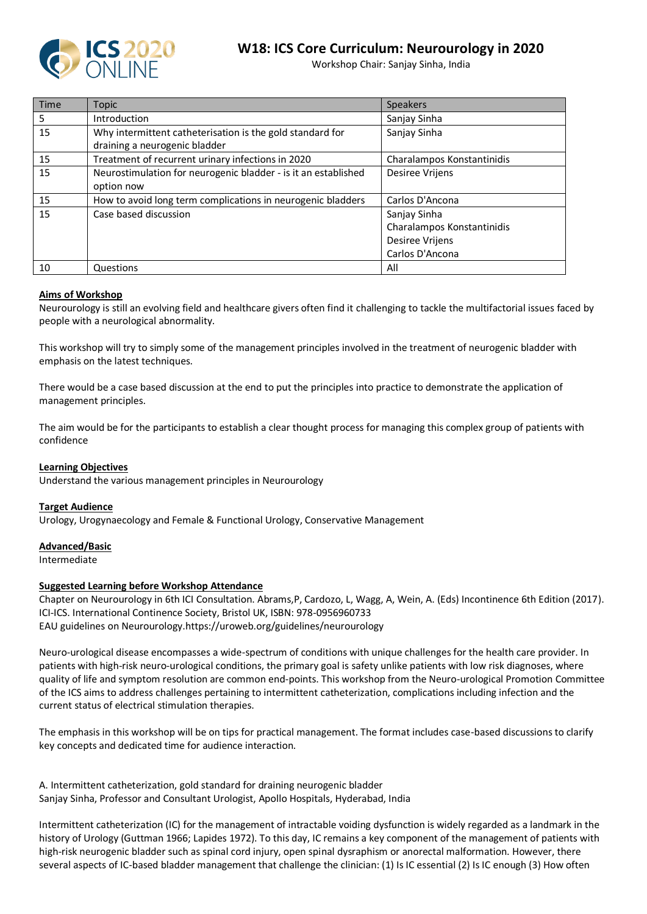

# **W18: ICS Core Curriculum: Neurourology in 2020**

Workshop Chair: Sanjay Sinha, India

| <b>Time</b> | <b>Topic</b>                                                   | <b>Speakers</b>            |
|-------------|----------------------------------------------------------------|----------------------------|
| 5           | Introduction                                                   | Sanjay Sinha               |
| 15          | Why intermittent catheterisation is the gold standard for      | Sanjay Sinha               |
|             | draining a neurogenic bladder                                  |                            |
| 15          | Treatment of recurrent urinary infections in 2020              | Charalampos Konstantinidis |
| 15          | Neurostimulation for neurogenic bladder - is it an established | Desiree Vrijens            |
|             | option now                                                     |                            |
| 15          | How to avoid long term complications in neurogenic bladders    | Carlos D'Ancona            |
| 15          | Case based discussion                                          | Sanjay Sinha               |
|             |                                                                | Charalampos Konstantinidis |
|             |                                                                | Desiree Vrijens            |
|             |                                                                | Carlos D'Ancona            |
| 10          | Questions                                                      | All                        |

#### **Aims of Workshop**

Neurourology is still an evolving field and healthcare givers often find it challenging to tackle the multifactorial issues faced by people with a neurological abnormality.

This workshop will try to simply some of the management principles involved in the treatment of neurogenic bladder with emphasis on the latest techniques.

There would be a case based discussion at the end to put the principles into practice to demonstrate the application of management principles.

The aim would be for the participants to establish a clear thought process for managing this complex group of patients with confidence

#### **Learning Objectives**

Understand the various management principles in Neurourology

#### **Target Audience**

Urology, Urogynaecology and Female & Functional Urology, Conservative Management

#### **Advanced/Basic**

Intermediate

#### **Suggested Learning before Workshop Attendance**

Chapter on Neurourology in 6th ICI Consultation. Abrams,P, Cardozo, L, Wagg, A, Wein, A. (Eds) Incontinence 6th Edition (2017). ICI-ICS. International Continence Society, Bristol UK, ISBN: 978-0956960733 EAU guidelines on Neurourology.https://uroweb.org/guidelines/neurourology

Neuro-urological disease encompasses a wide-spectrum of conditions with unique challenges for the health care provider. In patients with high-risk neuro-urological conditions, the primary goal is safety unlike patients with low risk diagnoses, where quality of life and symptom resolution are common end-points. This workshop from the Neuro-urological Promotion Committee of the ICS aims to address challenges pertaining to intermittent catheterization, complications including infection and the current status of electrical stimulation therapies.

The emphasis in this workshop will be on tips for practical management. The format includes case-based discussions to clarify key concepts and dedicated time for audience interaction.

A. Intermittent catheterization, gold standard for draining neurogenic bladder Sanjay Sinha, Professor and Consultant Urologist, Apollo Hospitals, Hyderabad, India

Intermittent catheterization (IC) for the management of intractable voiding dysfunction is widely regarded as a landmark in the history of Urology (Guttman 1966; Lapides 1972). To this day, IC remains a key component of the management of patients with high-risk neurogenic bladder such as spinal cord injury, open spinal dysraphism or anorectal malformation. However, there several aspects of IC-based bladder management that challenge the clinician: (1) Is IC essential (2) Is IC enough (3) How often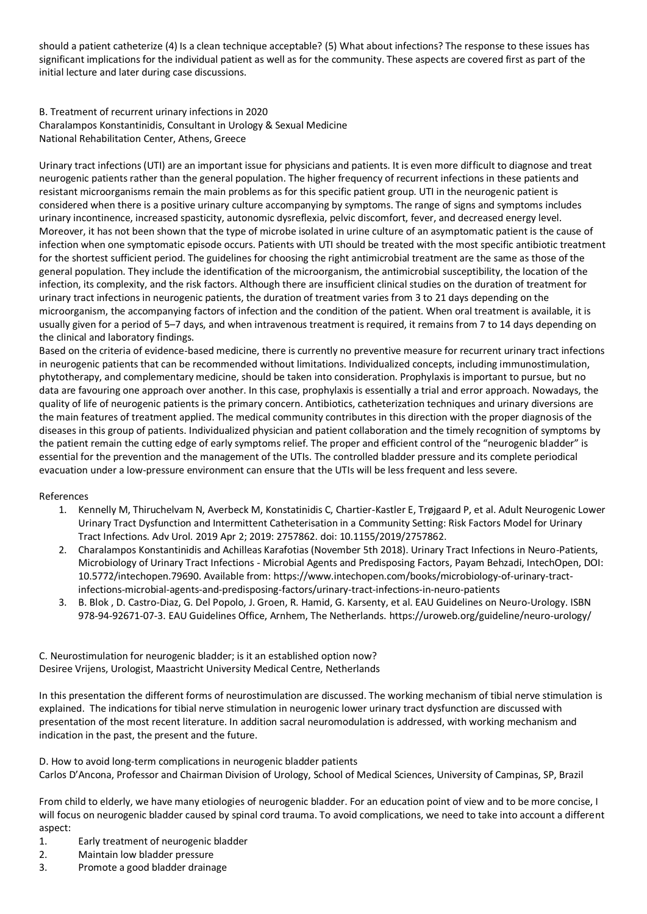should a patient catheterize (4) Is a clean technique acceptable? (5) What about infections? The response to these issues has significant implications for the individual patient as well as for the community. These aspects are covered first as part of the initial lecture and later during case discussions.

B. Treatment of recurrent urinary infections in 2020 Charalampos Konstantinidis, Consultant in Urology & Sexual Medicine National Rehabilitation Center, Athens, Greece

Urinary tract infections (UTI) are an important issue for physicians and patients. It is even more difficult to diagnose and treat neurogenic patients rather than the general population. The higher frequency of recurrent infections in these patients and resistant microorganisms remain the main problems as for this specific patient group. UTI in the neurogenic patient is considered when there is a positive urinary culture accompanying by symptoms. The range of signs and symptoms includes urinary incontinence, increased spasticity, autonomic dysreflexia, pelvic discomfort, fever, and decreased energy level. Moreover, it has not been shown that the type of microbe isolated in urine culture of an asymptomatic patient is the cause of infection when one symptomatic episode occurs. Patients with UTI should be treated with the most specific antibiotic treatment for the shortest sufficient period. The guidelines for choosing the right antimicrobial treatment are the same as those of the general population. They include the identification of the microorganism, the antimicrobial susceptibility, the location of the infection, its complexity, and the risk factors. Although there are insufficient clinical studies on the duration of treatment for urinary tract infections in neurogenic patients, the duration of treatment varies from 3 to 21 days depending on the microorganism, the accompanying factors of infection and the condition of the patient. When oral treatment is available, it is usually given for a period of 5–7 days, and when intravenous treatment is required, it remains from 7 to 14 days depending on the clinical and laboratory findings.

Based on the criteria of evidence-based medicine, there is currently no preventive measure for recurrent urinary tract infections in neurogenic patients that can be recommended without limitations. Individualized concepts, including immunostimulation, phytotherapy, and complementary medicine, should be taken into consideration. Prophylaxis is important to pursue, but no data are favouring one approach over another. In this case, prophylaxis is essentially a trial and error approach. Nowadays, the quality of life of neurogenic patients is the primary concern. Antibiotics, catheterization techniques and urinary diversions are the main features of treatment applied. The medical community contributes in this direction with the proper diagnosis of the diseases in this group of patients. Individualized physician and patient collaboration and the timely recognition of symptoms by the patient remain the cutting edge of early symptoms relief. The proper and efficient control of the "neurogenic bladder" is essential for the prevention and the management of the UTIs. The controlled bladder pressure and its complete periodical evacuation under a low-pressure environment can ensure that the UTIs will be less frequent and less severe.

#### References

- 1. Kennelly M, Thiruchelvam N, Averbeck M, Konstatinidis C, Chartier-Kastler E, Trøjgaard P, et al. Adult Neurogenic Lower Urinary Tract Dysfunction and Intermittent Catheterisation in a Community Setting: Risk Factors Model for Urinary Tract Infections. Adv Urol. 2019 Apr 2; 2019: 2757862. doi: 10.1155/2019/2757862.
- 2. Charalampos Konstantinidis and Achilleas Karafotias (November 5th 2018). Urinary Tract Infections in Neuro-Patients, Microbiology of Urinary Tract Infections - Microbial Agents and Predisposing Factors, Payam Behzadi, IntechOpen, DOI: 10.5772/intechopen.79690. Available from[: https://www.intechopen.com/books/microbiology-of-urinary-tract](https://www.intechopen.com/books/microbiology-of-urinary-tract-infections-microbial-agents-and-predisposing-factors/urinary-tract-infections-in-neuro-patients)[infections-microbial-agents-and-predisposing-factors/urinary-tract-infections-in-neuro-patients](https://www.intechopen.com/books/microbiology-of-urinary-tract-infections-microbial-agents-and-predisposing-factors/urinary-tract-infections-in-neuro-patients)
- 3. B. Blok , D. Castro-Diaz, G. Del Popolo, J. Groen, R. Hamid, G. Karsenty, et al. EAU Guidelines on Neuro-Urology. ISBN 978-94-92671-07-3. EAU Guidelines Office, Arnhem, The Netherlands.<https://uroweb.org/guideline/neuro-urology/>

## C. Neurostimulation for neurogenic bladder; is it an established option now? Desiree Vrijens, Urologist, Maastricht University Medical Centre, Netherlands

In this presentation the different forms of neurostimulation are discussed. The working mechanism of tibial nerve stimulation is explained. The indications for tibial nerve stimulation in neurogenic lower urinary tract dysfunction are discussed with presentation of the most recent literature. In addition sacral neuromodulation is addressed, with working mechanism and indication in the past, the present and the future.

D. How to avoid long-term complications in neurogenic bladder patients Carlos D'Ancona, Professor and Chairman Division of Urology, School of Medical Sciences, University of Campinas, SP, Brazil

From child to elderly, we have many etiologies of neurogenic bladder. For an education point of view and to be more concise, I will focus on neurogenic bladder caused by spinal cord trauma. To avoid complications, we need to take into account a different aspect:

- 1. Early treatment of neurogenic bladder
- 2. Maintain low bladder pressure
- 3. Promote a good bladder drainage